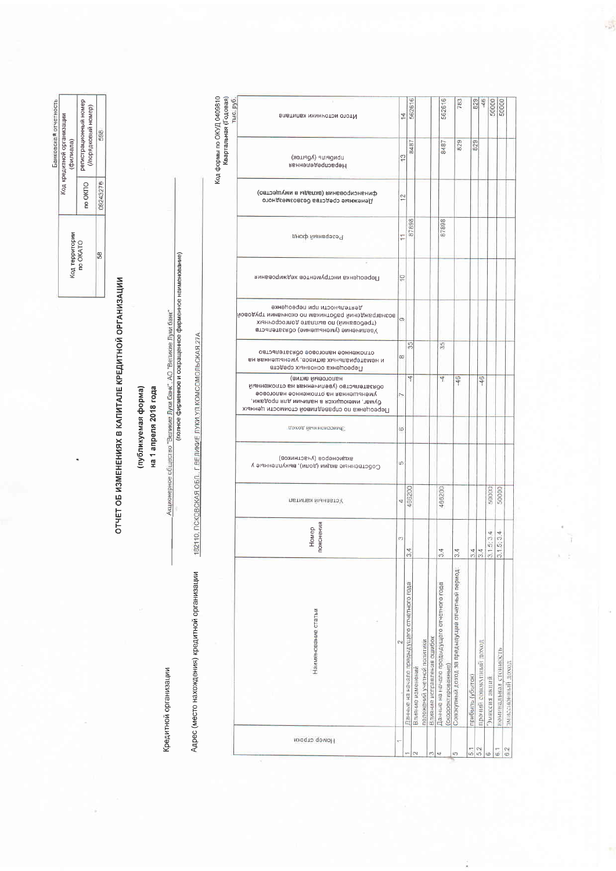Банковская отчетность регистрационный номер<br>(/порядковый номер) Код кредитной организации<br>(филиала) 598  $\frac{1}{2}$  no OKITO 09243276 Код территории<br>по ОКАТО န္တြ

ОТЧЕТ ОБ ИЗМЕНЕНИЯХ В КАПИТАЛЕ КРЕДИТНОЙ ОРГАНИЗАЦИИ

ка 1 апреля 2018 года (публикуемая форма)

Кредитной организации

(полное фирменное и сокращенное фирменное наименование)

Акционерное общество "Великие Луки банк", АО "Великие Луки банк"

182110, ПСКОВСКАЯ ОБЛ., Г. ВЕЛИКИЕ ЛУКИ, УЛ. КОМСОМОЛЬСКАЯ, 27А Адрес (место нахождения) кредитной организации

Код формы по ОКУД 0409810<br>Квартальная (Годовая)<br>Тыс. руб. 14<br>562616 50000 562616 783 **B29** Влатинах министом ототМ 8487 829 829 8487 цьморнир (убыток)  $\frac{1}{2}$ HepacnpenentHan финансирования (вкизды в имущество)  $\overline{12}$ Денежные средства безвозмездного 87898 87898 Резервниф фонд |e Переоценка инструментов хеджирования втоапетьемдо (амнышение) Уваличение<br>Ковердений работникам по окончании трудовой<br>(требований) по выплате долгосрочных<br>Уваличисти при переоцение) 35  $\frac{15}{35}$ атлаженное напоговое обязательство<br>и нематериальных активов, уменьшенная на<br>Переоценка основных средств (витив йнаотольн 4 46 46 мыннежопто вн квнненипея у овтоипетвского ижедор в политики в измищения из более.<br>Уменьшенная на отложенное налоговое<br>Обивать состояние на миними для продажи, Переоценка по справедливой стоимости ценных доход йынноноэние ic. акционеров (участников) Собственные акции (доли), выкупленные у 466200 50000 50000 466200 льтипы минавтоў  $\overline{\phantom{a}}$ Номер<br>пояснения  $3.1.5:3.4$  $3.1.5:3.4$ 34  $3.4$  $34$ Совокупный доход за предыдущий отчетный период: Танные на начало предыдущего отчетного года Влияние исправления ошибок<br>Данные на начало предыдущего отчетного года Наименование статьи толожений учетной политики прочий совокупный доход номинальная стоимость эмиссионный доход (скорректированные) трибыль (убыток) Эмнссия акций Влияние изме Homep crpokn  $rac{1}{6|2|}$   $rac{1}{6|1|}$  $6.2$ ich